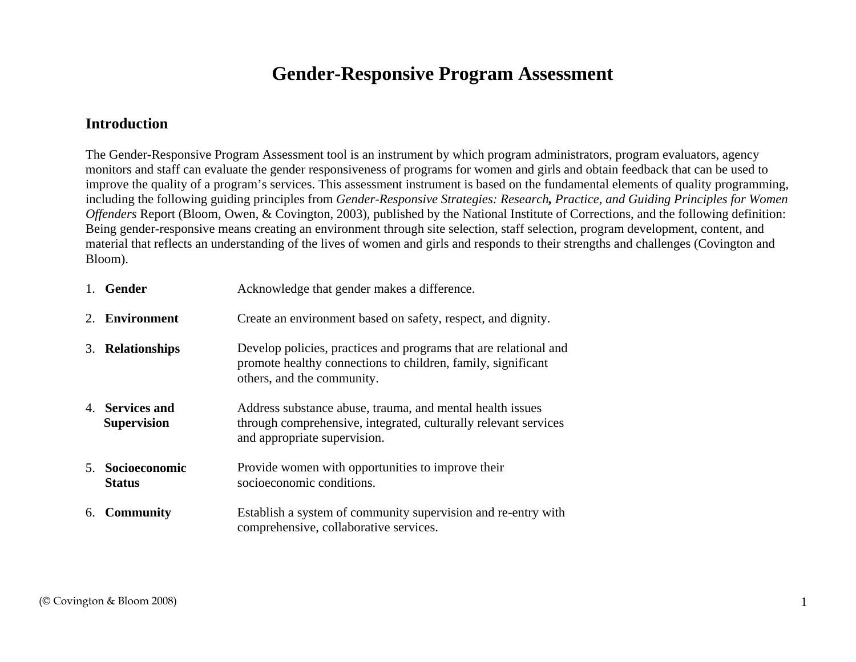# **Gender-Responsive Program Assessment**

#### **Introduction**

The Gender-Responsive Program Assessment tool is an instrument by which program administrators, program evaluators, agency monitors and staff can evaluate the gender responsiveness of programs for women and girls and obtain feedback that can be used to improve the quality of a program's services. This assessment instrument is based on the fundamental elements of quality programming, including the following guiding principles from *Gender-Responsive Strategies: Research, Practice, and Guiding Principles for Women Offenders* Report (Bloom, Owen, & Covington, 2003)*,* published by the National Institute of Corrections, and the following definition: Being gender-responsive means creating an environment through site selection, staff selection, program development, content, and material that reflects an understanding of the lives of women and girls and responds to their strengths and challenges (Covington and Bloom).

|             | 1. Gender                             | Acknowledge that gender makes a difference.                                                                                                                    |
|-------------|---------------------------------------|----------------------------------------------------------------------------------------------------------------------------------------------------------------|
| $2^{\circ}$ | Environment                           | Create an environment based on safety, respect, and dignity.                                                                                                   |
|             | 3. Relationships                      | Develop policies, practices and programs that are relational and<br>promote healthy connections to children, family, significant<br>others, and the community. |
|             | 4. Services and<br><b>Supervision</b> | Address substance abuse, trauma, and mental health issues<br>through comprehensive, integrated, culturally relevant services<br>and appropriate supervision.   |
| $5_{-}$     | Socioeconomic<br><b>Status</b>        | Provide women with opportunities to improve their<br>socioeconomic conditions.                                                                                 |
| 6.          | <b>Community</b>                      | Establish a system of community supervision and re-entry with<br>comprehensive, collaborative services.                                                        |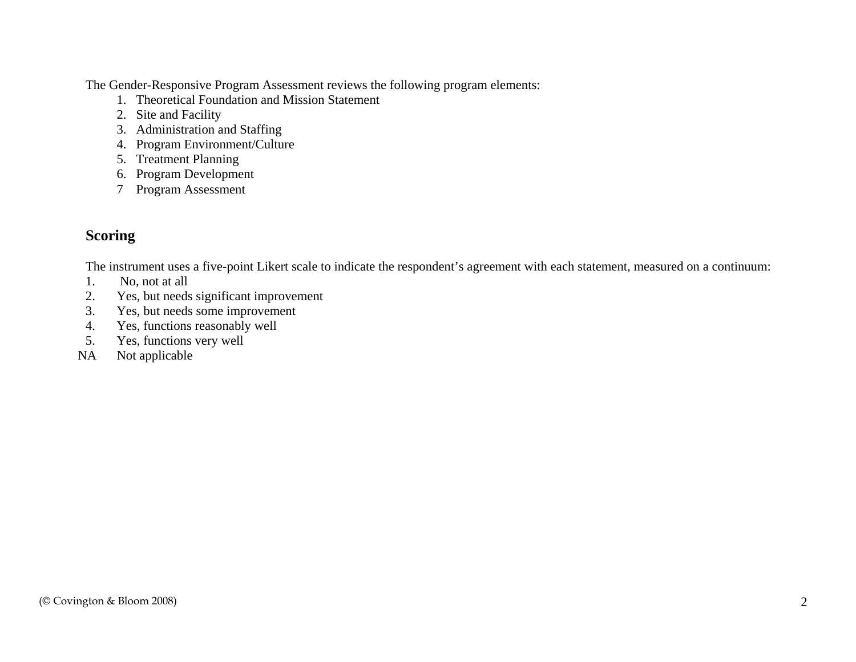The Gender-Responsive Program Assessment reviews the following program elements:

- 1. Theoretical Foundation and Mission Statement
- 2. Site and Facility
- 3. Administration and Staffing
- 4. Program Environment/Culture
- 5. Treatment Planning
- 6. Program Development
- 7 Program Assessment

## **Scoring**

The instrument uses a five-point Likert scale to indicate the respondent's agreement with each statement, measured on a continuum:

- 1. No, not at all
- 2.Yes, but needs significant improvement
- 3.Yes, but needs some improvement
- 4.Yes, functions reasonably well
- 5.Yes, functions very well
- NA Not applicable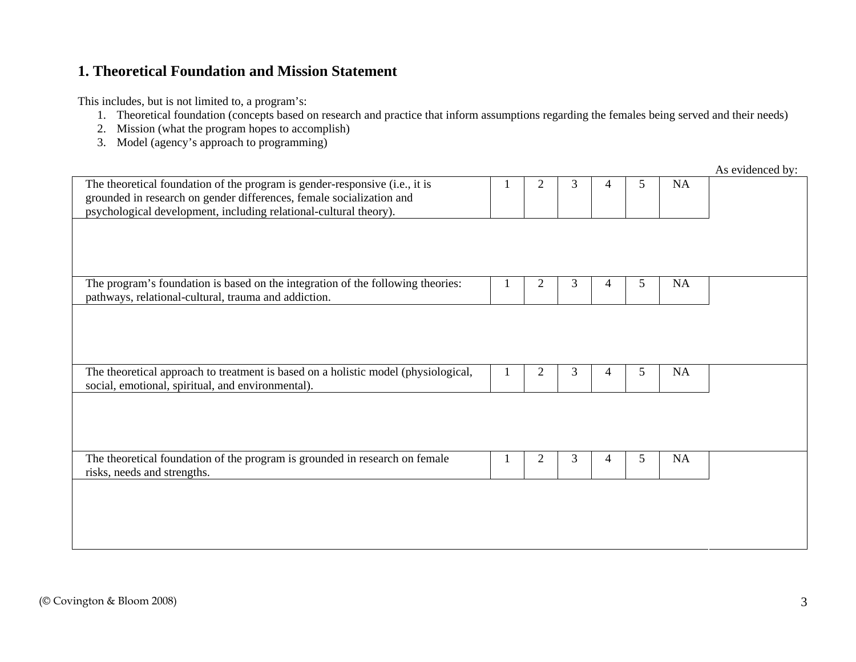### **1. Theoretical Foundation and Mission Statement**

- 1. Theoretical foundation (concepts based on research and practice that inform assumptions regarding the females being served and their needs)
- 2. Mission (what the program hopes to accomplish)
- 3. Model (agency's approach to programming)

|                                                                                                                                                     |                |   |   |    |    | As evidenced by: |
|-----------------------------------------------------------------------------------------------------------------------------------------------------|----------------|---|---|----|----|------------------|
| The theoretical foundation of the program is gender-responsive (i.e., it is<br>grounded in research on gender differences, female socialization and | 2              | 3 | 4 | 5. | NA |                  |
| psychological development, including relational-cultural theory).                                                                                   |                |   |   |    |    |                  |
|                                                                                                                                                     |                |   |   |    |    |                  |
|                                                                                                                                                     |                |   |   |    |    |                  |
|                                                                                                                                                     |                |   |   |    |    |                  |
| The program's foundation is based on the integration of the following theories:                                                                     | $\overline{2}$ | 3 | 4 | 5  | NA |                  |
| pathways, relational-cultural, trauma and addiction.                                                                                                |                |   |   |    |    |                  |
|                                                                                                                                                     |                |   |   |    |    |                  |
|                                                                                                                                                     |                |   |   |    |    |                  |
|                                                                                                                                                     |                |   |   |    |    |                  |
| The theoretical approach to treatment is based on a holistic model (physiological,<br>social, emotional, spiritual, and environmental).             | $\overline{c}$ | 3 | 4 | 5. | NA |                  |
|                                                                                                                                                     |                |   |   |    |    |                  |
|                                                                                                                                                     |                |   |   |    |    |                  |
|                                                                                                                                                     |                |   |   |    |    |                  |
| The theoretical foundation of the program is grounded in research on female                                                                         | $\overline{2}$ | 3 | 4 | 5  | NA |                  |
| risks, needs and strengths.                                                                                                                         |                |   |   |    |    |                  |
|                                                                                                                                                     |                |   |   |    |    |                  |
|                                                                                                                                                     |                |   |   |    |    |                  |
|                                                                                                                                                     |                |   |   |    |    |                  |
|                                                                                                                                                     |                |   |   |    |    |                  |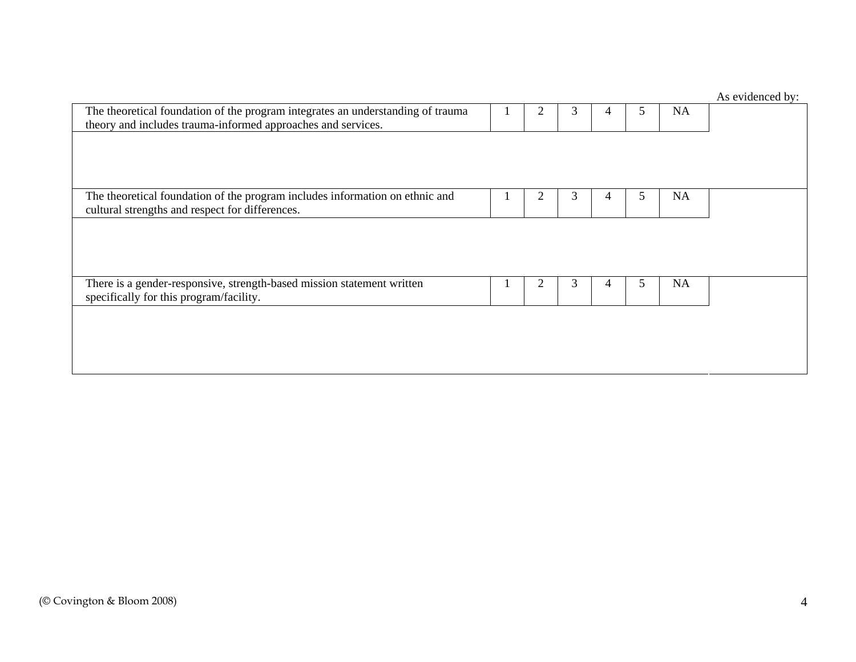# As evidenced by: The theoretical foundation of the program integrates an understanding of trauma theory and includes trauma-informed approaches and services. 1 | 2 | 3 | 4 | 5 | NA The theoretical foundation of the program includes information on ethnic and cultural strengths and respect for differences. 1 | 2 | 3 | 4 | 5 | NA There is a gender-responsive, strength-based mission statement written specifically for this program/facility. 1 2 3 4 5 NA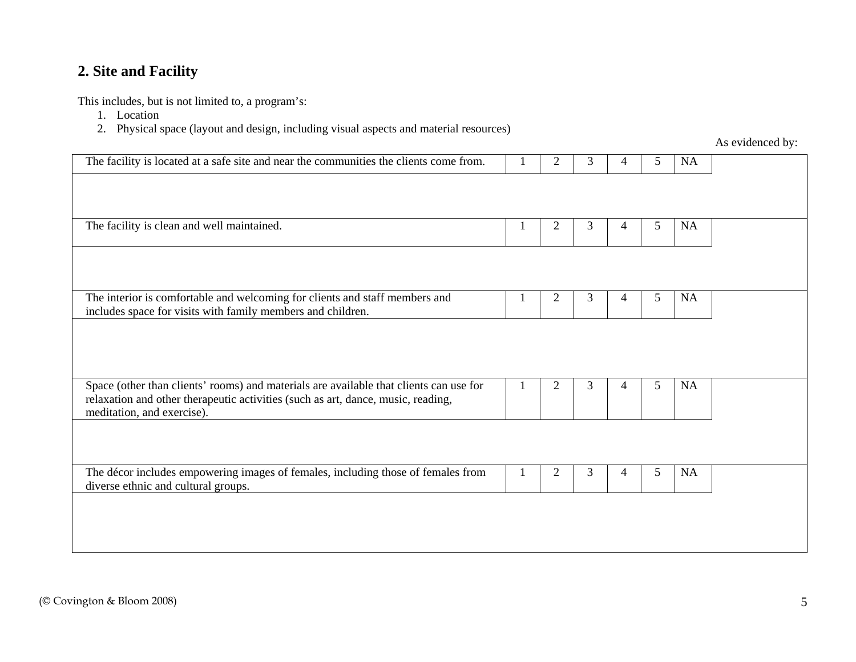## **2. Site and Facility**

This includes, but is not limited to, a program's:

1. Location

2. Physical space (layout and design, including visual aspects and material resources)

|                |   |   |   |           | $110$ condensed by. |
|----------------|---|---|---|-----------|---------------------|
| $\overline{2}$ | 3 | 4 | 5 | <b>NA</b> |                     |
|                |   |   |   |           |                     |
|                |   |   |   |           |                     |
| $\overline{2}$ | 3 | 4 | 5 |           |                     |
|                |   |   |   |           |                     |
|                |   |   |   |           |                     |
| $\overline{2}$ | 3 | 4 | 5 | <b>NA</b> |                     |
|                |   |   |   |           |                     |
|                |   |   |   |           |                     |
|                |   |   |   |           |                     |
| $\overline{2}$ | 3 | 4 | 5 | <b>NA</b> |                     |
|                |   |   |   |           |                     |
|                |   |   |   |           |                     |
|                |   |   |   |           |                     |
| $\overline{2}$ | 3 | 4 | 5 | NA        |                     |
|                |   |   |   |           |                     |
|                |   |   |   |           |                     |
|                |   |   |   |           |                     |
|                |   |   |   |           | <b>NA</b>           |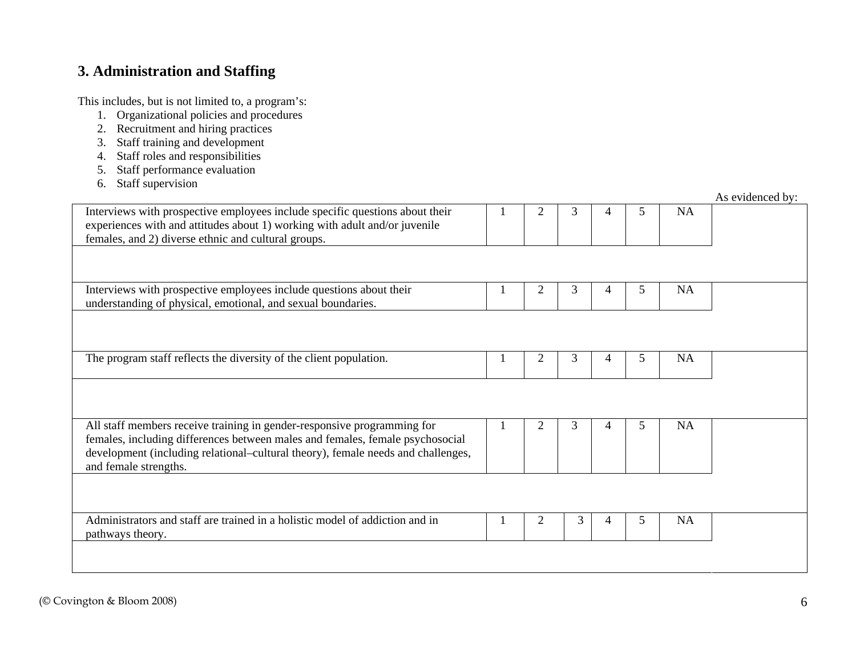## **3. Administration and Staffing**

- 1. Organizational policies and procedures
- 2. Recruitment and hiring practices
- 3. Staff training and development
- 4. Staff roles and responsibilities
- 5. Staff performance evaluation
- 6. Staff supervision

|                                                                                                                                                                                                                                                                       |                |   |                |    |           | As evidenced by: |
|-----------------------------------------------------------------------------------------------------------------------------------------------------------------------------------------------------------------------------------------------------------------------|----------------|---|----------------|----|-----------|------------------|
| Interviews with prospective employees include specific questions about their<br>experiences with and attitudes about 1) working with adult and/or juvenile<br>females, and 2) diverse ethnic and cultural groups.                                                     | $\mathfrak{D}$ | 3 | $\overline{4}$ | 5. | <b>NA</b> |                  |
|                                                                                                                                                                                                                                                                       |                |   |                |    |           |                  |
| Interviews with prospective employees include questions about their<br>understanding of physical, emotional, and sexual boundaries.                                                                                                                                   | 2              | 3 | 4              | 5  | <b>NA</b> |                  |
|                                                                                                                                                                                                                                                                       |                |   |                |    |           |                  |
| The program staff reflects the diversity of the client population.                                                                                                                                                                                                    | 2              | 3 | 4              | 5  | NA        |                  |
|                                                                                                                                                                                                                                                                       |                |   |                |    |           |                  |
| All staff members receive training in gender-responsive programming for<br>females, including differences between males and females, female psychosocial<br>development (including relational–cultural theory), female needs and challenges,<br>and female strengths. | $\mathfrak{D}$ | 3 | 4              | 5  | <b>NA</b> |                  |
|                                                                                                                                                                                                                                                                       |                |   |                |    |           |                  |
| Administrators and staff are trained in a holistic model of addiction and in<br>pathways theory.                                                                                                                                                                      | $\overline{2}$ | 3 | 4              | 5  | NA        |                  |
|                                                                                                                                                                                                                                                                       |                |   |                |    |           |                  |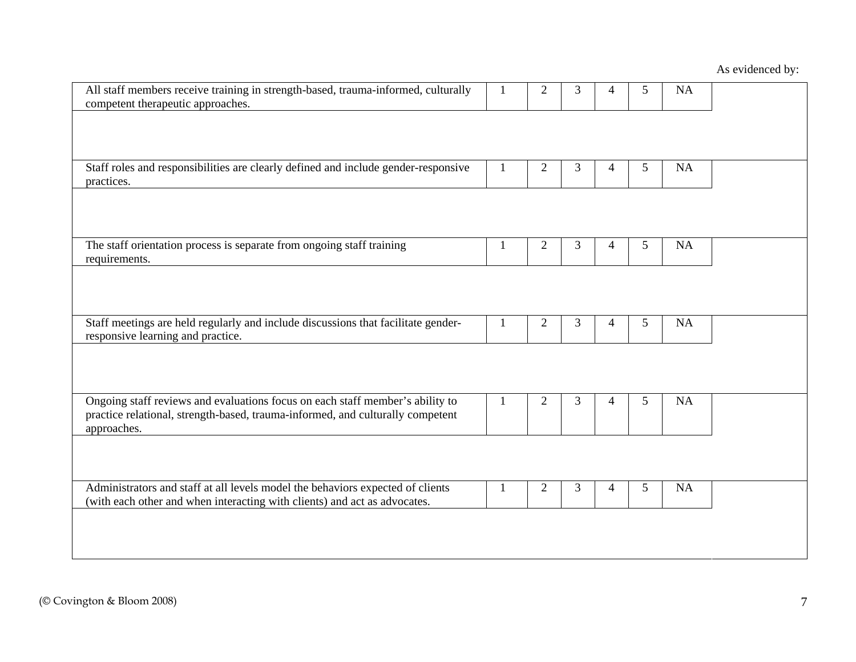| All staff members receive training in strength-based, trauma-informed, culturally<br>competent therapeutic approaches.                                                         | 1            | $\overline{2}$ | 3 | 4              | 5 | <b>NA</b> |  |
|--------------------------------------------------------------------------------------------------------------------------------------------------------------------------------|--------------|----------------|---|----------------|---|-----------|--|
|                                                                                                                                                                                |              |                |   |                |   |           |  |
| Staff roles and responsibilities are clearly defined and include gender-responsive<br>practices.                                                                               | 1            | $\overline{2}$ | 3 | 4              | 5 | <b>NA</b> |  |
|                                                                                                                                                                                |              |                |   |                |   |           |  |
| The staff orientation process is separate from ongoing staff training<br>requirements.                                                                                         | 1            | $\mathfrak{2}$ | 3 | 4              | 5 | <b>NA</b> |  |
|                                                                                                                                                                                |              |                |   |                |   |           |  |
| Staff meetings are held regularly and include discussions that facilitate gender-<br>responsive learning and practice.                                                         | 1            | $\overline{2}$ | 3 | 4              | 5 | <b>NA</b> |  |
|                                                                                                                                                                                |              |                |   |                |   |           |  |
| Ongoing staff reviews and evaluations focus on each staff member's ability to<br>practice relational, strength-based, trauma-informed, and culturally competent<br>approaches. | $\mathbf{1}$ | $\overline{2}$ | 3 | $\overline{4}$ | 5 | <b>NA</b> |  |
|                                                                                                                                                                                |              |                |   |                |   |           |  |
| Administrators and staff at all levels model the behaviors expected of clients<br>(with each other and when interacting with clients) and act as advocates.                    | 1            | $\overline{2}$ | 3 | 4              | 5 | <b>NA</b> |  |
|                                                                                                                                                                                |              |                |   |                |   |           |  |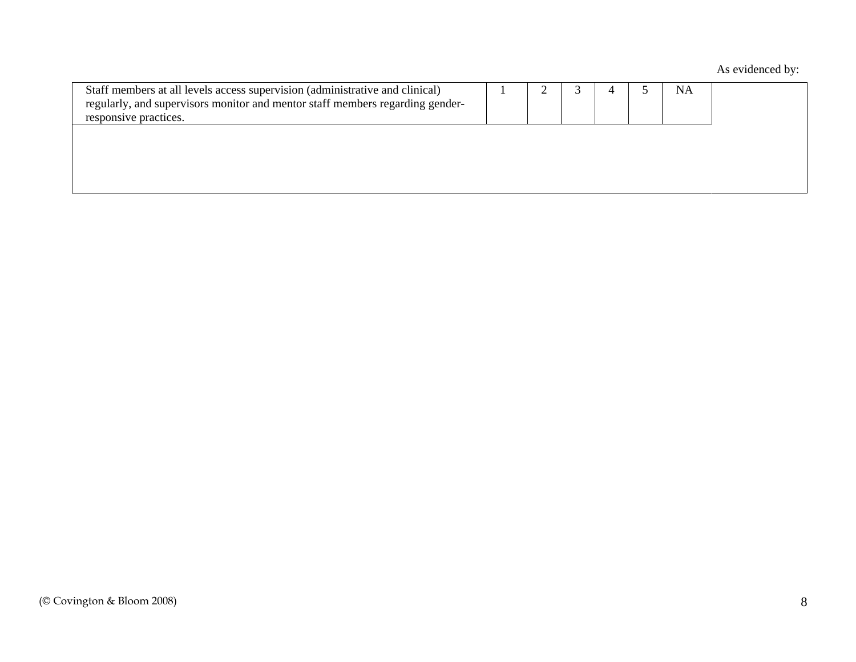| Staff members at all levels access supervision (administrative and clinical)<br>regularly, and supervisors monitor and mentor staff members regarding gender-<br>responsive practices. |  |  | <b>NA</b> |  |
|----------------------------------------------------------------------------------------------------------------------------------------------------------------------------------------|--|--|-----------|--|
|                                                                                                                                                                                        |  |  |           |  |
|                                                                                                                                                                                        |  |  |           |  |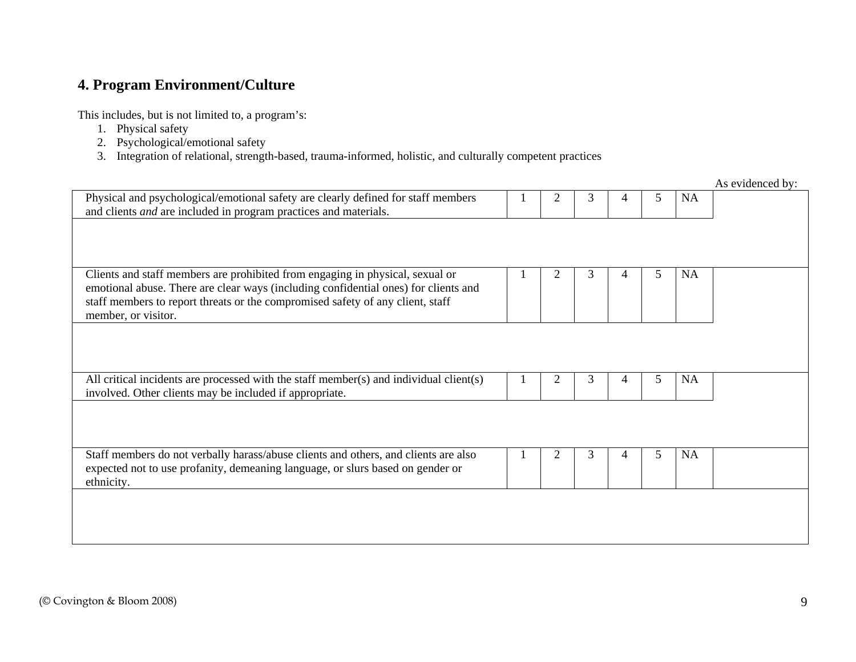### **4. Program Environment/Culture**

This includes, but is not limited to, a program's:

- 1. Physical safety
- 2. Psychological/emotional safety
- 3. Integration of relational, strength-based, trauma-informed, holistic, and culturally competent practices

As evidenced by: Physical and psychological/emotional safety are clearly defined for staff members and clients *and* are included in program practices and materials. 1 2 3 4 5 NA Clients and staff members are prohibited from engaging in physical, sexual or emotional abuse. There are clear ways (including confidential ones) for clients and staff members to report threats or the compromised safety of any client, staff member, or visitor. 1 2 3 4 5 NA All critical incidents are processed with the staff member(s) and individual client(s) involved. Other clients may be included if appropriate. 1 2 3 4 5 NA Staff members do not verbally harass/abuse clients and others, and clients are also expected not to use profanity, demeaning language, or slurs based on gender or ethnicity. 1 2 3 4 5 NA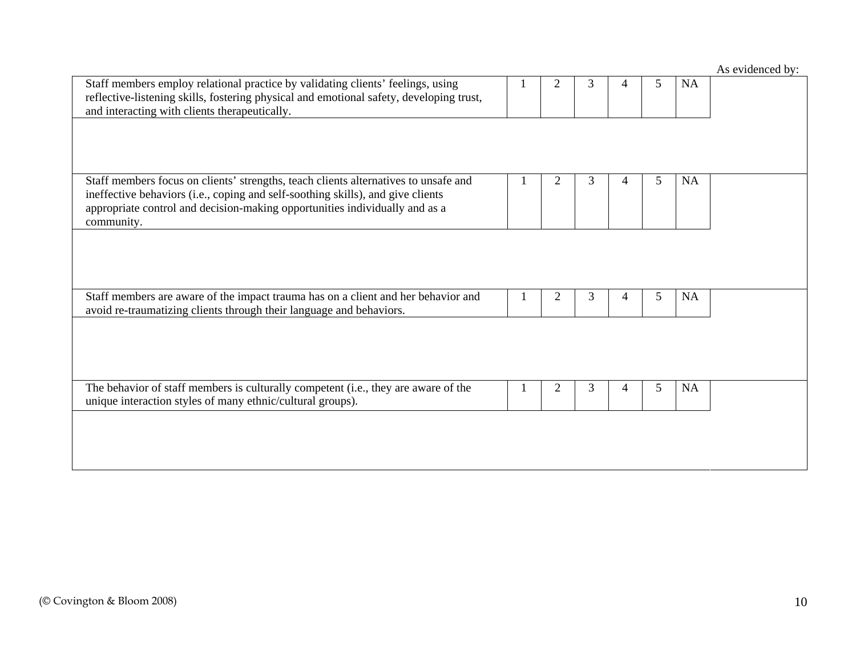|                                                                                                                                                                                                                                                                     |                |   |   |   |           | As evidenced by: |
|---------------------------------------------------------------------------------------------------------------------------------------------------------------------------------------------------------------------------------------------------------------------|----------------|---|---|---|-----------|------------------|
| Staff members employ relational practice by validating clients' feelings, using<br>reflective-listening skills, fostering physical and emotional safety, developing trust,<br>and interacting with clients therapeutically.                                         | 2              | 3 | 4 | 5 | <b>NA</b> |                  |
|                                                                                                                                                                                                                                                                     |                |   |   |   |           |                  |
| Staff members focus on clients' strengths, teach clients alternatives to unsafe and<br>ineffective behaviors (i.e., coping and self-soothing skills), and give clients<br>appropriate control and decision-making opportunities individually and as a<br>community. | $\overline{2}$ | 3 | 4 | 5 | <b>NA</b> |                  |
|                                                                                                                                                                                                                                                                     |                |   |   |   |           |                  |
| Staff members are aware of the impact trauma has on a client and her behavior and<br>avoid re-traumatizing clients through their language and behaviors.                                                                                                            | $\overline{2}$ | 3 | 4 | 5 | NA        |                  |
|                                                                                                                                                                                                                                                                     |                |   |   |   |           |                  |
| The behavior of staff members is culturally competent (i.e., they are aware of the<br>unique interaction styles of many ethnic/cultural groups).                                                                                                                    | 2              | 3 | 4 | 5 | NA        |                  |
|                                                                                                                                                                                                                                                                     |                |   |   |   |           |                  |
|                                                                                                                                                                                                                                                                     |                |   |   |   |           |                  |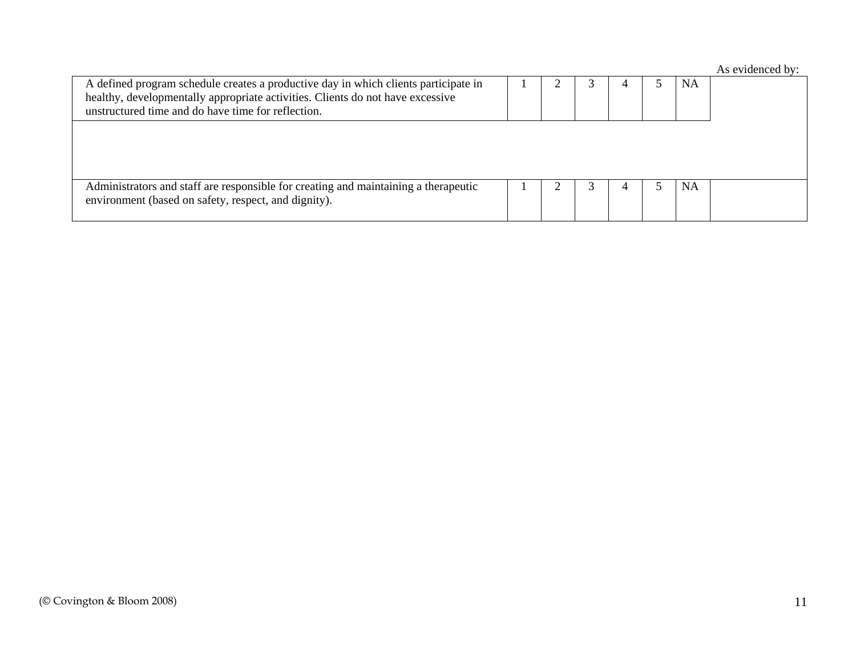| A defined program schedule creates a productive day in which clients participate in<br>healthy, developmentally appropriate activities. Clients do not have excessive<br>unstructured time and do have time for reflection. |  |  | <b>NA</b> |  |
|-----------------------------------------------------------------------------------------------------------------------------------------------------------------------------------------------------------------------------|--|--|-----------|--|
|                                                                                                                                                                                                                             |  |  |           |  |
| Administrators and staff are responsible for creating and maintaining a therapeutic<br>environment (based on safety, respect, and dignity).                                                                                 |  |  | NA        |  |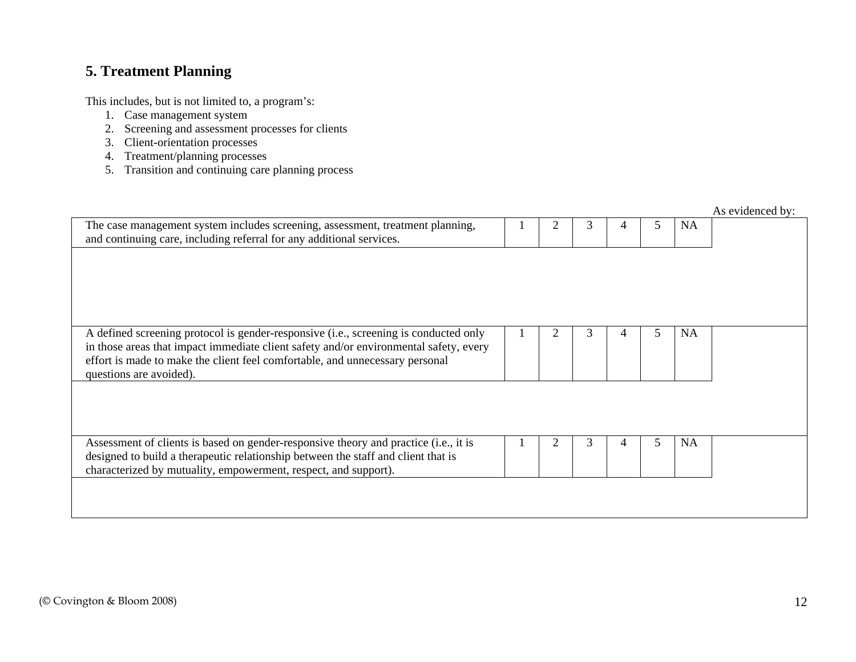## **5. Treatment Planning**

- 1. Case management system
- 2. Screening and assessment processes for clients
- 3. Client-orientation processes
- 4. Treatment/planning processes
- 5. Transition and continuing care planning process

|                                                                                                                                                                                                                                                                                          |  |   |   |   |           | As evidenced by: |
|------------------------------------------------------------------------------------------------------------------------------------------------------------------------------------------------------------------------------------------------------------------------------------------|--|---|---|---|-----------|------------------|
| The case management system includes screening, assessment, treatment planning,<br>and continuing care, including referral for any additional services.                                                                                                                                   |  | 3 | 4 | 5 | NA        |                  |
|                                                                                                                                                                                                                                                                                          |  |   |   |   |           |                  |
|                                                                                                                                                                                                                                                                                          |  |   |   |   |           |                  |
|                                                                                                                                                                                                                                                                                          |  |   |   |   |           |                  |
| A defined screening protocol is gender-responsive (i.e., screening is conducted only<br>in those areas that impact immediate client safety and/or environmental safety, every<br>effort is made to make the client feel comfortable, and unnecessary personal<br>questions are avoided). |  | 3 |   | 5 | NA        |                  |
|                                                                                                                                                                                                                                                                                          |  |   |   |   |           |                  |
| Assessment of clients is based on gender-responsive theory and practice (i.e., it is<br>designed to build a therapeutic relationship between the staff and client that is<br>characterized by mutuality, empowerment, respect, and support).                                             |  | 3 |   | 5 | <b>NA</b> |                  |
|                                                                                                                                                                                                                                                                                          |  |   |   |   |           |                  |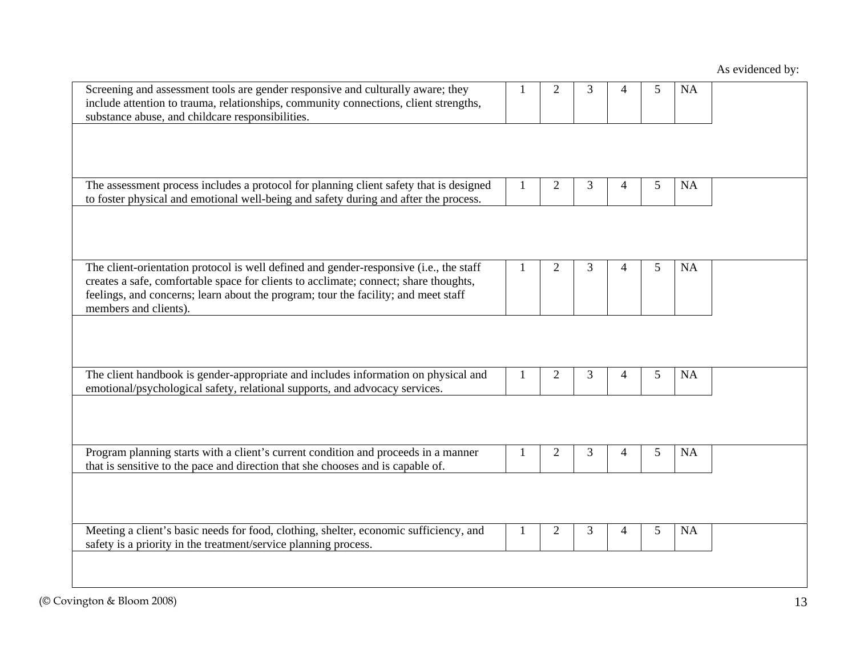| Screening and assessment tools are gender responsive and culturally aware; they<br>include attention to trauma, relationships, community connections, client strengths,<br>substance abuse, and childcare responsibilities.                                                                   |   | 2              | 3 |   | 5 | <b>NA</b> |  |
|-----------------------------------------------------------------------------------------------------------------------------------------------------------------------------------------------------------------------------------------------------------------------------------------------|---|----------------|---|---|---|-----------|--|
|                                                                                                                                                                                                                                                                                               |   |                |   |   |   |           |  |
| The assessment process includes a protocol for planning client safety that is designed<br>to foster physical and emotional well-being and safety during and after the process.                                                                                                                |   | $\overline{c}$ | 3 | 4 | 5 | <b>NA</b> |  |
|                                                                                                                                                                                                                                                                                               |   |                |   |   |   |           |  |
| The client-orientation protocol is well defined and gender-responsive (i.e., the staff<br>creates a safe, comfortable space for clients to acclimate; connect; share thoughts,<br>feelings, and concerns; learn about the program; tour the facility; and meet staff<br>members and clients). | 1 | $\overline{2}$ | 3 | 4 | 5 | <b>NA</b> |  |
|                                                                                                                                                                                                                                                                                               |   |                |   |   |   |           |  |
| The client handbook is gender-appropriate and includes information on physical and<br>emotional/psychological safety, relational supports, and advocacy services.                                                                                                                             | 1 | 2              | 3 | 4 | 5 | <b>NA</b> |  |
|                                                                                                                                                                                                                                                                                               |   |                |   |   |   |           |  |
| Program planning starts with a client's current condition and proceeds in a manner<br>that is sensitive to the pace and direction that she chooses and is capable of.                                                                                                                         | 1 | $\overline{2}$ | 3 | 4 | 5 | <b>NA</b> |  |
|                                                                                                                                                                                                                                                                                               |   |                |   |   |   |           |  |
| Meeting a client's basic needs for food, clothing, shelter, economic sufficiency, and<br>safety is a priority in the treatment/service planning process.                                                                                                                                      |   | $\overline{2}$ | 3 | 4 | 5 | <b>NA</b> |  |
|                                                                                                                                                                                                                                                                                               |   |                |   |   |   |           |  |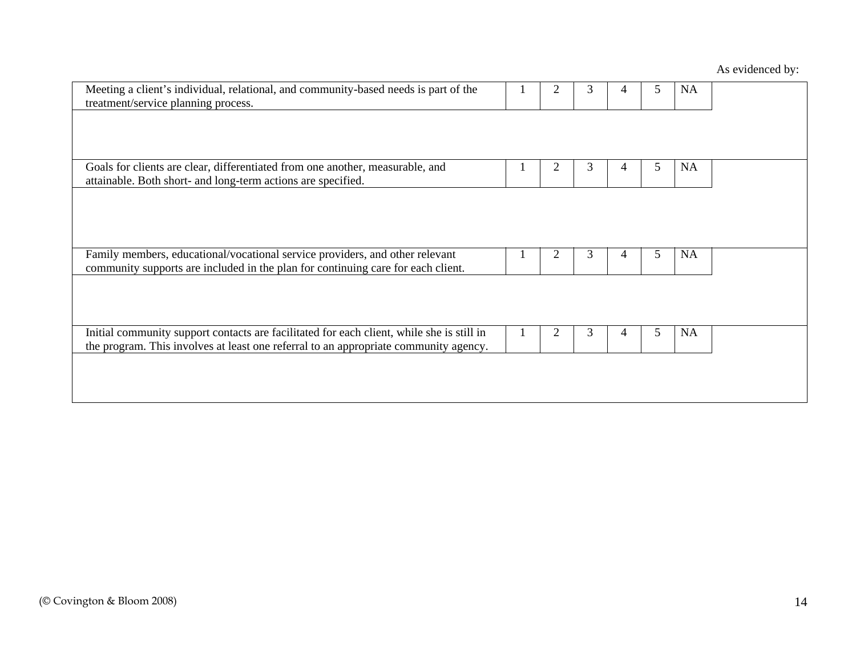| Meeting a client's individual, relational, and community-based needs is part of the<br>treatment/service planning process.                                                        | 2 | 3 | 4 | 5 | <b>NA</b> |  |
|-----------------------------------------------------------------------------------------------------------------------------------------------------------------------------------|---|---|---|---|-----------|--|
|                                                                                                                                                                                   |   |   |   |   |           |  |
| Goals for clients are clear, differentiated from one another, measurable, and                                                                                                     | 2 | 3 | 4 | 5 | <b>NA</b> |  |
| attainable. Both short- and long-term actions are specified.                                                                                                                      |   |   |   |   |           |  |
|                                                                                                                                                                                   |   |   |   |   |           |  |
|                                                                                                                                                                                   |   |   |   |   |           |  |
|                                                                                                                                                                                   |   |   |   |   |           |  |
| Family members, educational/vocational service providers, and other relevant<br>community supports are included in the plan for continuing care for each client.                  | 2 | 3 | 4 | 5 | <b>NA</b> |  |
|                                                                                                                                                                                   |   |   |   |   |           |  |
|                                                                                                                                                                                   |   |   |   |   |           |  |
|                                                                                                                                                                                   |   |   |   |   |           |  |
| Initial community support contacts are facilitated for each client, while she is still in<br>the program. This involves at least one referral to an appropriate community agency. | 2 | 3 | 4 | 5 | <b>NA</b> |  |
|                                                                                                                                                                                   |   |   |   |   |           |  |
|                                                                                                                                                                                   |   |   |   |   |           |  |
|                                                                                                                                                                                   |   |   |   |   |           |  |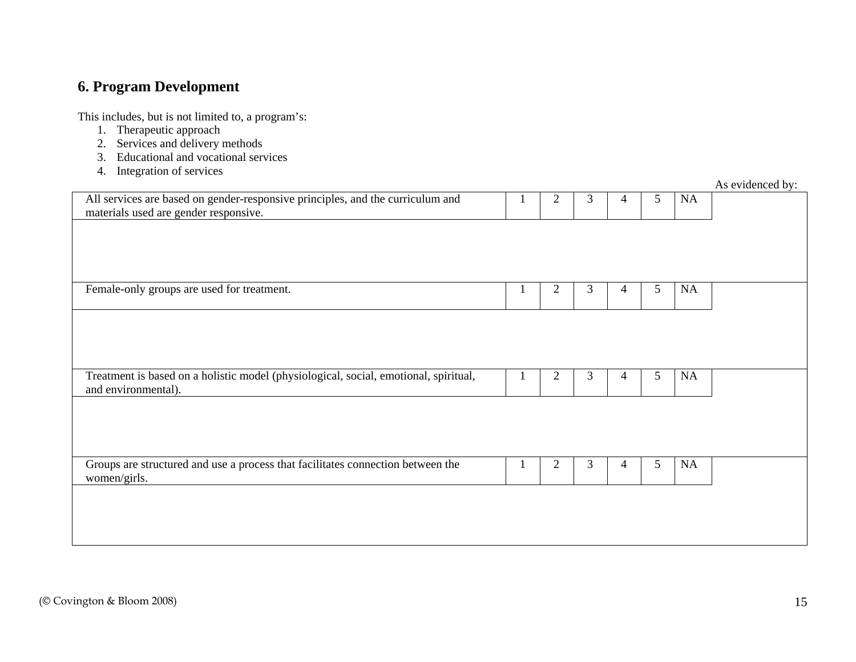## **6. Program Development**

- 1. Therapeutic approach
- 2. Services and delivery methods
- 3. Educational and vocational services
- 4. Integration of services

|                                                                                      |                |   |   |   |    | As evidenced by: |
|--------------------------------------------------------------------------------------|----------------|---|---|---|----|------------------|
| All services are based on gender-responsive principles, and the curriculum and       | $\overline{2}$ | 3 | 4 | 5 | NA |                  |
| materials used are gender responsive.                                                |                |   |   |   |    |                  |
|                                                                                      |                |   |   |   |    |                  |
|                                                                                      |                |   |   |   |    |                  |
|                                                                                      |                |   |   |   |    |                  |
|                                                                                      |                |   |   |   |    |                  |
|                                                                                      |                |   |   |   |    |                  |
| Female-only groups are used for treatment.                                           | $\overline{2}$ | 3 | 4 | 5 | NA |                  |
|                                                                                      |                |   |   |   |    |                  |
|                                                                                      |                |   |   |   |    |                  |
|                                                                                      |                |   |   |   |    |                  |
|                                                                                      |                |   |   |   |    |                  |
|                                                                                      |                |   |   |   |    |                  |
| Treatment is based on a holistic model (physiological, social, emotional, spiritual, | $\overline{2}$ | 3 | 4 | 5 | NA |                  |
| and environmental).                                                                  |                |   |   |   |    |                  |
|                                                                                      |                |   |   |   |    |                  |
|                                                                                      |                |   |   |   |    |                  |
|                                                                                      |                |   |   |   |    |                  |
|                                                                                      |                |   |   |   |    |                  |
|                                                                                      |                |   |   |   |    |                  |
| Groups are structured and use a process that facilitates connection between the      | $\overline{2}$ | 3 | 4 | 5 | NA |                  |
| women/girls.                                                                         |                |   |   |   |    |                  |
|                                                                                      |                |   |   |   |    |                  |
|                                                                                      |                |   |   |   |    |                  |
|                                                                                      |                |   |   |   |    |                  |
|                                                                                      |                |   |   |   |    |                  |
|                                                                                      |                |   |   |   |    |                  |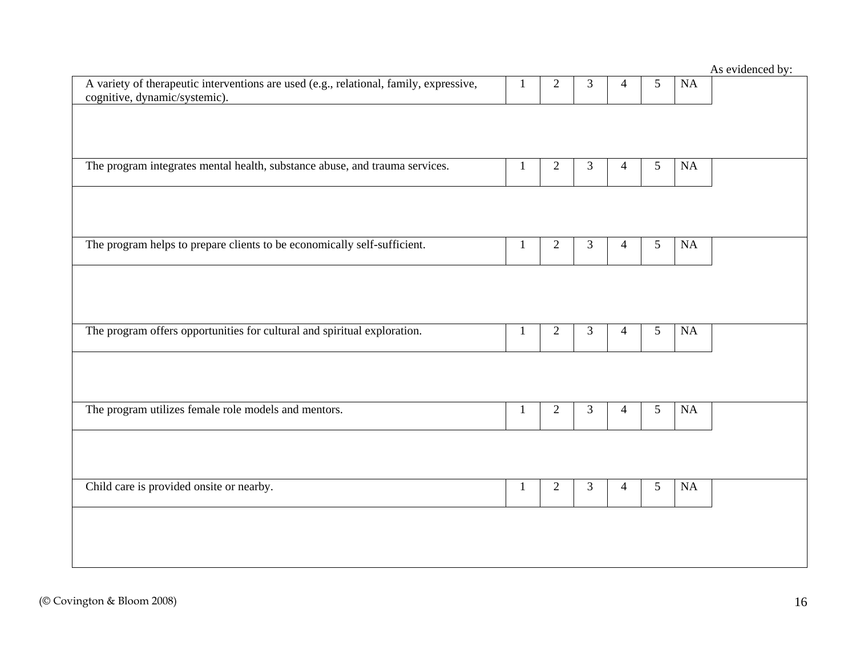|                                                                                                                         |   |                |                |                |                |          | As evidenced by: |
|-------------------------------------------------------------------------------------------------------------------------|---|----------------|----------------|----------------|----------------|----------|------------------|
| A variety of therapeutic interventions are used (e.g., relational, family, expressive,<br>cognitive, dynamic/systemic). |   | $\overline{2}$ | 3              | $\overline{4}$ | $\mathfrak{S}$ | NA       |                  |
|                                                                                                                         |   |                |                |                |                |          |                  |
|                                                                                                                         |   |                |                |                |                |          |                  |
|                                                                                                                         |   |                |                |                |                |          |                  |
| The program integrates mental health, substance abuse, and trauma services.                                             | 1 | $\overline{2}$ | $\mathfrak{Z}$ | $\overline{4}$ | 5              | $\rm NA$ |                  |
|                                                                                                                         |   |                |                |                |                |          |                  |
|                                                                                                                         |   |                |                |                |                |          |                  |
|                                                                                                                         |   |                |                |                |                |          |                  |
|                                                                                                                         |   |                |                |                |                |          |                  |
| The program helps to prepare clients to be economically self-sufficient.                                                | 1 | $\mathfrak{2}$ | 3              | $\overline{4}$ | 5              | NA       |                  |
|                                                                                                                         |   |                |                |                |                |          |                  |
|                                                                                                                         |   |                |                |                |                |          |                  |
|                                                                                                                         |   |                |                |                |                |          |                  |
| The program offers opportunities for cultural and spiritual exploration.                                                | 1 | $\overline{2}$ | 3              | $\overline{4}$ | 5              | NA       |                  |
|                                                                                                                         |   |                |                |                |                |          |                  |
|                                                                                                                         |   |                |                |                |                |          |                  |
|                                                                                                                         |   |                |                |                |                |          |                  |
|                                                                                                                         |   |                |                |                |                |          |                  |
| The program utilizes female role models and mentors.                                                                    |   | $\overline{2}$ | 3              | $\overline{4}$ | 5              | NA       |                  |
|                                                                                                                         |   |                |                |                |                |          |                  |
|                                                                                                                         |   |                |                |                |                |          |                  |
|                                                                                                                         |   |                |                |                |                |          |                  |
| Child care is provided onsite or nearby.                                                                                | 1 | $\overline{2}$ | 3              | $\overline{4}$ | 5              | $\rm NA$ |                  |
|                                                                                                                         |   |                |                |                |                |          |                  |
|                                                                                                                         |   |                |                |                |                |          |                  |
|                                                                                                                         |   |                |                |                |                |          |                  |
|                                                                                                                         |   |                |                |                |                |          |                  |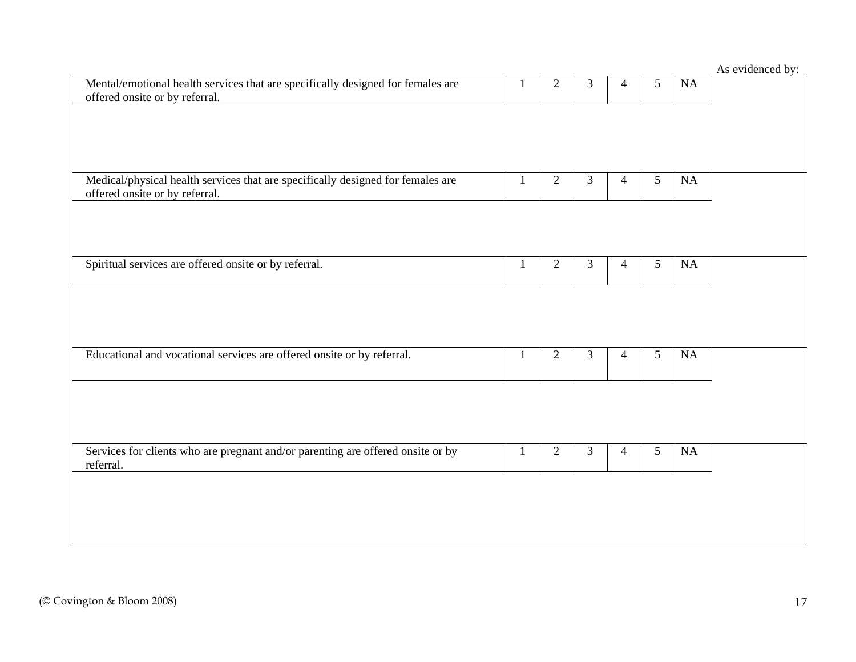|                                                                                                                   |              |                |   |                |   |           | $Ao$ cynelliced by. |
|-------------------------------------------------------------------------------------------------------------------|--------------|----------------|---|----------------|---|-----------|---------------------|
| Mental/emotional health services that are specifically designed for females are<br>offered onsite or by referral. | 1            | $\mathbf{2}$   | 3 | $\overline{4}$ | 5 | <b>NA</b> |                     |
|                                                                                                                   |              |                |   |                |   |           |                     |
|                                                                                                                   |              |                |   |                |   |           |                     |
| Medical/physical health services that are specifically designed for females are                                   | 1            | $\overline{2}$ | 3 | 4              | 5 | <b>NA</b> |                     |
| offered onsite or by referral.                                                                                    |              |                |   |                |   |           |                     |
|                                                                                                                   |              |                |   |                |   |           |                     |
|                                                                                                                   |              |                |   |                |   |           |                     |
| Spiritual services are offered onsite or by referral.                                                             | 1            | $\overline{2}$ | 3 | 4              | 5 | NA        |                     |
|                                                                                                                   |              |                |   |                |   |           |                     |
|                                                                                                                   |              |                |   |                |   |           |                     |
|                                                                                                                   |              |                |   |                |   |           |                     |
| Educational and vocational services are offered onsite or by referral.                                            | $\mathbf{1}$ | $\mathfrak{2}$ | 3 | 4              | 5 | NA        |                     |
|                                                                                                                   |              |                |   |                |   |           |                     |
|                                                                                                                   |              |                |   |                |   |           |                     |
|                                                                                                                   |              |                |   |                |   |           |                     |
| Services for clients who are pregnant and/or parenting are offered onsite or by<br>referral.                      | -1           | $\overline{2}$ | 3 | 4              | 5 | NA        |                     |
|                                                                                                                   |              |                |   |                |   |           |                     |
|                                                                                                                   |              |                |   |                |   |           |                     |
|                                                                                                                   |              |                |   |                |   |           |                     |
|                                                                                                                   |              |                |   |                |   |           |                     |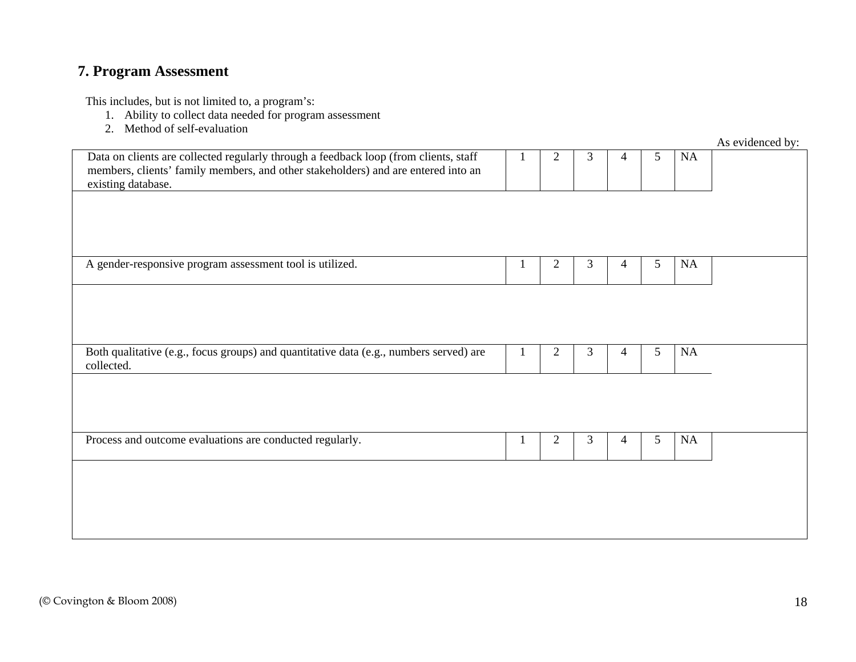## **7. Program Assessment**

- 1. Ability to collect data needed for program assessment
- 2. Method of self-evaluation

|                                                                                                                                                                                                 |                |   |   |   |    | As evidenced by: |
|-------------------------------------------------------------------------------------------------------------------------------------------------------------------------------------------------|----------------|---|---|---|----|------------------|
| Data on clients are collected regularly through a feedback loop (from clients, staff<br>members, clients' family members, and other stakeholders) and are entered into an<br>existing database. | $\overline{2}$ | 3 | 4 | 5 | NA |                  |
|                                                                                                                                                                                                 |                |   |   |   |    |                  |
| A gender-responsive program assessment tool is utilized.                                                                                                                                        | $\overline{2}$ | 3 | 4 | 5 | NA |                  |
|                                                                                                                                                                                                 |                |   |   |   |    |                  |
|                                                                                                                                                                                                 |                |   |   |   |    |                  |
| Both qualitative (e.g., focus groups) and quantitative data (e.g., numbers served) are<br>collected.                                                                                            | $\mathbf{2}$   | 3 | 4 | 5 | NA |                  |
|                                                                                                                                                                                                 |                |   |   |   |    |                  |
| Process and outcome evaluations are conducted regularly.                                                                                                                                        | $\overline{2}$ | 3 | 4 | 5 | NA |                  |
|                                                                                                                                                                                                 |                |   |   |   |    |                  |
|                                                                                                                                                                                                 |                |   |   |   |    |                  |
|                                                                                                                                                                                                 |                |   |   |   |    |                  |
|                                                                                                                                                                                                 |                |   |   |   |    |                  |